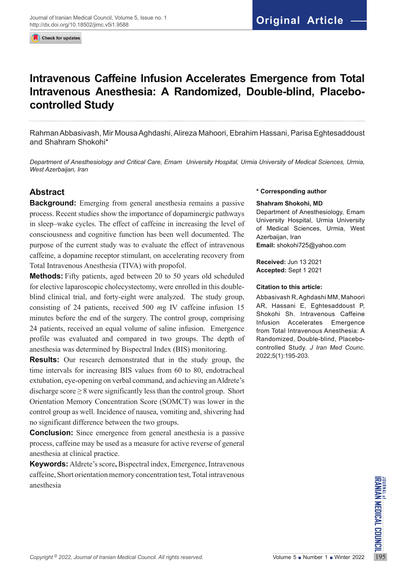Check for updates

# **Intravenous Caffeine Infusion Accelerates Emergence from Total Intravenous Anesthesia: A Randomized, Double-blind, Placebocontrolled Study**

Rahman Abbasivash, Mir Mousa Aghdashi, Alireza Mahoori, Ebrahim Hassani, Parisa Eghtesaddoust and Shahram Shokohi\*

*Department of Anesthesiology and Critical Care, Emam University Hospital, Urmia University of Medical Sciences, Urmia, West Azerbaijan, Iran*

# **Abstract**

**Background:** Emerging from general anesthesia remains a passive process. Recent studies show the importance of dopaminergic pathways in sleep–wake cycles. The effect of caffeine in increasing the level of consciousness and cognitive function has been well documented. The purpose of the current study was to evaluate the effect of intravenous caffeine, a dopamine receptor stimulant, on accelerating recovery from Total Intravenous Anesthesia (TIVA) with propofol.

**Methods:** Fifty patients, aged between 20 to 50 years old scheduled for elective laparoscopic cholecystectomy, were enrolled in this doubleblind clinical trial, and forty-eight were analyzed. The study group, consisting of 24 patients, received 500 *m*g IV caffeine infusion 15 minutes before the end of the surgery. The control group, comprising 24 patients, received an equal volume of saline infusion. Emergence profile was evaluated and compared in two groups. The depth of anesthesia was determined by Bispectral Index (BIS) monitoring.

**Results:** Our research demonstrated that in the study group, the time intervals for increasing BIS values from 60 to 80, endotracheal extubation, eye-opening on verbal command, and achieving an Aldrete's discharge score  $\geq 8$  were significantly less than the control group. Short Orientation Memory Concentration Score (SOMCT) was lower in the control group as well. Incidence of nausea, vomiting and, shivering had no significant difference between the two groups.

**Conclusion:** Since emergence from general anesthesia is a passive process, caffeine may be used as a measure for active reverse of general anesthesia at clinical practice.

*Copyright* <sup>©</sup> 2022, *Journal of Iranian Medical Council. All rights reserved.* Volume 5 Number 1 Number 1 Winter 2022 195 **Keywords:** Aldrete's score**,** Bispectral index, Emergence, Intravenous caffeine, Short orientation memory concentration test, Total intravenous anesthesia

#### **\* Corresponding author**

#### **Shahram Shokohi, MD**

Department of Anesthesiology, Emam University Hospital, Urmia University of Medical Sciences, Urmia, West Azerbaijan, Iran **Email:** shokohi725@yahoo.com

**Received:** Jun 13 2021 **Accepted:** Sept 1 2021

#### **Citation to this article:**

Abbasivash R, Aghdashi MM, Mahoori AR, Hassani E, Eghtesaddoust P, Shokohi Sh. Intravenous Caffeine Infusion Accelerates Emergence from Total Intravenous Anesthesia: A Randomized, Double-blind, Placebocontrolled Study. *J Iran Med Counc*. 2022;5(1):195-203.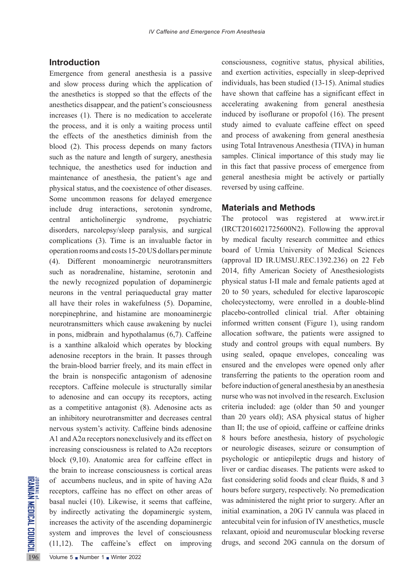### **Introduction**

The state of accumbens nucleus, and i<br>receptors, caffeine has no ef<br>basal nuclei (10). Likewise,<br>by indirectly activating the<br>increases the activity of the as<br>system and improves the le<br>(11,12). The caffeine's e<br>volume 5 Emergence from general anesthesia is a passive and slow process during which the application of the anesthetics is stopped so that the effects of the anesthetics disappear, and the patient's consciousness increases (1). There is no medication to accelerate the process, and it is only a waiting process until the effects of the anesthetics diminish from the blood (2). This process depends on many factors such as the nature and length of surgery, anesthesia technique, the anesthetics used for induction and maintenance of anesthesia, the patient's age and physical status, and the coexistence of other diseases. Some uncommon reasons for delayed emergence include drug interactions, serotonin syndrome, central anticholinergic syndrome, psychiatric disorders, narcolepsy/sleep paralysis, and surgical complications (3). Time is an invaluable factor in operation rooms and costs 15-20 US dollars per minute (4). Different monoaminergic neurotransmitters such as noradrenaline, histamine, serotonin and the newly recognized population of dopaminergic neurons in the ventral periaqueductal gray matter all have their roles in wakefulness (5). Dopamine, norepinephrine, and histamine are monoaminergic neurotransmitters which cause awakening by nuclei in pons, midbrain and hypothalamus (6,7). Caffeine is a xanthine alkaloid which operates by blocking adenosine receptors in the brain. It passes through the brain-blood barrier freely, and its main effect in the brain is nonspecific antagonism of adenosine receptors. Caffeine molecule is structurally similar to adenosine and can occupy its receptors, acting as a competitive antagonist (8). Adenosine acts as an inhibitory neurotransmitter and decreases central nervous system's activity. Caffeine binds adenosine A1 and A2α receptors nonexclusively and its effect on increasing consciousness is related to A2α receptors block (9,10). Anatomic area for caffeine effect in the brain to increase consciousness is cortical areas of accumbens nucleus, and in spite of having A2α receptors, caffeine has no effect on other areas of basal nuclei (10). Likewise, it seems that caffeine, by indirectly activating the dopaminergic system, increases the activity of the ascending dopaminergic system and improves the level of consciousness (11,12). The caffeine's effect on improving

consciousness, cognitive status, physical abilities, and exertion activities, especially in sleep-deprived individuals, has been studied (13-15). Animal studies have shown that caffeine has a significant effect in accelerating awakening from general anesthesia induced by isoflurane or propofol (16). The present study aimed to evaluate caffeine effect on speed and process of awakening from general anesthesia using Total Intravenous Anesthesia (TIVA) in human samples. Clinical importance of this study may lie in this fact that passive process of emergence from general anesthesia might be actively or partially reversed by using caffeine.

#### **Materials and Methods**

The protocol was registered at www.irct.ir (IRCT2016021725600N2). Following the approval by medical faculty research committee and ethics board of Urmia University of Medical Sciences (approval ID IR.UMSU.REC.1392.236) on 22 Feb 2014, fifty American Society of Anesthesiologists physical status I-II male and female patients aged at 20 to 50 years, scheduled for elective laparoscopic cholecystectomy, were enrolled in a double-blind placebo-controlled clinical trial. After obtaining informed written consent (Figure 1), using random allocation software, the patients were assigned to study and control groups with equal numbers. By using sealed, opaque envelopes, concealing was ensured and the envelopes were opened only after transferring the patients to the operation room and before induction of general anesthesia by an anesthesia nurse who was not involved in the research. Exclusion criteria included: age (older than 50 and younger than 20 years old); ASA physical status of higher than II; the use of opioid, caffeine or caffeine drinks 8 hours before anesthesia, history of psychologic or neurologic diseases, seizure or consumption of psychologic or antiepileptic drugs and history of liver or cardiac diseases. The patients were asked to fast considering solid foods and clear fluids, 8 and 3 hours before surgery, respectively. No premedication was administered the night prior to surgery. After an initial examination, a 20G IV cannula was placed in antecubital vein for infusion of IV anesthetics, muscle relaxant, opioid and neuromuscular blocking reverse drugs, and second 20G cannula on the dorsum of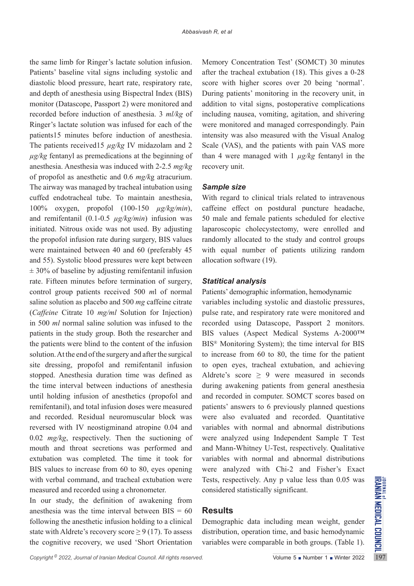the same limb for Ringer's lactate solution infusion. Patients' baseline vital signs including systolic and diastolic blood pressure, heart rate, respiratory rate, and depth of anesthesia using Bispectral Index (BIS) monitor (Datascope, Passport 2) were monitored and recorded before induction of anesthesia. 3 *ml/kg* of Ringer's lactate solution was infused for each of the patients15 minutes before induction of anesthesia. The patients received15 *µg/kg* IV midazolam and 2 *µg/kg* fentanyl as premedications at the beginning of anesthesia. Anesthesia was induced with 2-2.5 *mg/kg* of propofol as anesthetic and 0.6 *mg/k*g atracurium. The airway was managed by tracheal intubation using cuffed endotracheal tube. To maintain anesthesia, 100% oxygen, propofol (100-150 *µg/kg/min*), and remifentanil (0.1-0.5 *µg/kg/min*) infusion was initiated. Nitrous oxide was not used. By adjusting the propofol infusion rate during surgery, BIS values were maintained between 40 and 60 (preferably 45 and 55). Systolic blood pressures were kept between  $\pm$  30% of baseline by adjusting remifentanil infusion rate. Fifteen minutes before termination of surgery, control group patients received 500 *m*l of normal saline solution as placebo and 500 *mg* caffeine citrate (*Caffeine* Citrate 10 *mg/ml* Solution for Injection) in 500 *ml* normal saline solution was infused to the patients in the study group. Both the researcher and the patients were blind to the content of the infusion solution. At the end of the surgery and after the surgical site dressing, propofol and remifentanil infusion stopped. Anesthesia duration time was defined as the time interval between inductions of anesthesia until holding infusion of anesthetics (propofol and remifentanil), and total infusion doses were measured and recorded. Residual neuromuscular block was reversed with IV neostigminand atropine 0.04 and 0.02 *mg/kg*, respectively. Then the suctioning of mouth and throat secretions was performed and extubation was completed. The time it took for BIS values to increase from 60 to 80, eyes opening with verbal command, and tracheal extubation were measured and recorded using a chronometer.

In our study, the definition of awakening from anesthesia was the time interval between  $BIS = 60$ following the anesthetic infusion holding to a clinical state with Aldrete's recovery score  $\geq 9$  (17). To assess the cognitive recovery, we used 'Short Orientation Memory Concentration Test' (SOMCT) 30 minutes after the tracheal extubation (18). This gives a 0-28 score with higher scores over 20 being 'normal'. During patients' monitoring in the recovery unit, in addition to vital signs, postoperative complications including nausea, vomiting, agitation, and shivering were monitored and managed correspondingly. Pain intensity was also measured with the Visual Analog Scale (VAS), and the patients with pain VAS more than 4 were managed with 1 *µg/kg* fentanyl in the recovery unit.

#### *Sample size*

With regard to clinical trials related to intravenous caffeine effect on postdural puncture headache, 50 male and female patients scheduled for elective laparoscopic cholecystectomy, were enrolled and randomly allocated to the study and control groups with equal number of patients utilizing random allocation software (19).

#### *Statitical analysis*

Patients' demographic information, hemodynamic

variables including systolic and diastolic pressures, pulse rate, and respiratory rate were monitored and recorded using Datascope, Passport 2 monitors. BIS values (Aspect Medical Systems A-2000™ BIS® Monitoring System); the time interval for BIS to increase from 60 to 80, the time for the patient to open eyes, tracheal extubation, and achieving Aldrete's score  $\geq$  9 were measured in seconds during awakening patients from general anesthesia and recorded in computer. SOMCT scores based on patients' answers to 6 previously planned questions were also evaluated and recorded. Quantitative variables with normal and abnormal distributions were analyzed using Independent Sample T Test and Mann-Whitney U-Test, respectively. Qualitative variables with normal and abnormal distributions were analyzed with Chi-2 and Fisher's Exact Tests, respectively. Any p value less than 0.05 was considered statistically significant.

### **Results**

Demographic data including mean weight, gender distribution, operation time, and basic hemodynamic variables were comparable in both groups. (Table 1).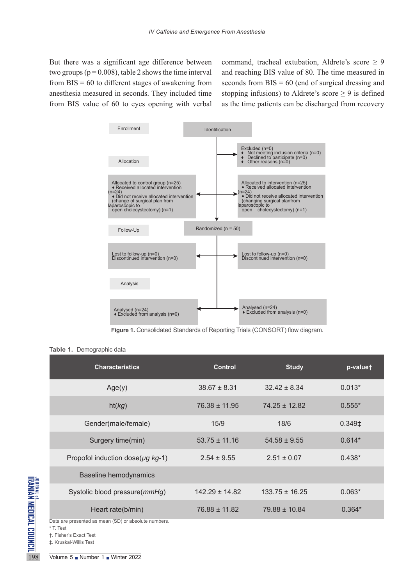But there was a significant age difference between two groups ( $p = 0.008$ ), table 2 shows the time interval from  $BIS = 60$  to different stages of awakening from anesthesia measured in seconds. They included time from BIS value of 60 to eyes opening with verbal command, tracheal extubation, Aldrete's score  $\geq 9$ and reaching BIS value of 80. The time measured in seconds from  $BIS = 60$  (end of surgical dressing and stopping infusions) to Aldrete's score  $\geq$  9 is defined as the time patients can be discharged from recovery



**Figure 1.** Consolidated Standards of Reporting Trials (CONSORT) flow diagram.

**Table 1.** Demographic data

|                                                                       | <b>Characteristics</b>                                                                                                                                                               | <b>Control</b>     | <b>Study</b>       | p-valuet           |
|-----------------------------------------------------------------------|--------------------------------------------------------------------------------------------------------------------------------------------------------------------------------------|--------------------|--------------------|--------------------|
|                                                                       | Age(y)                                                                                                                                                                               | $38.67 \pm 8.31$   | $32.42 \pm 8.34$   | $0.013*$           |
|                                                                       | ht(kg)                                                                                                                                                                               | $76.38 \pm 11.95$  | $74.25 \pm 12.82$  | $0.555*$           |
|                                                                       | Gender(male/female)                                                                                                                                                                  | 15/9               | 18/6               | 0.349 <sup>‡</sup> |
| <sup>JOURNAL OF DICAL COUNCIL</sup><br>IRANIAN MEDICAL COUNCIL<br>198 | Surgery time(min)                                                                                                                                                                    | $53.75 \pm 11.16$  | $54.58 \pm 9.55$   | $0.614*$           |
|                                                                       | Propofol induction dose( $\mu$ g kg-1)                                                                                                                                               | $2.54 \pm 9.55$    | $2.51 \pm 0.07$    | $0.438*$           |
|                                                                       | <b>Baseline hemodynamics</b>                                                                                                                                                         |                    |                    |                    |
|                                                                       | Systolic blood pressure(mmHg)                                                                                                                                                        | $142.29 \pm 14.82$ | $133.75 \pm 16.25$ | $0.063*$           |
|                                                                       | Heart rate(b/min)                                                                                                                                                                    | $76.88 \pm 11.82$  | 79.88 ± 10.84      | $0.364*$           |
|                                                                       | Data are presented as mean (SD) or absolute numbers.<br>* T. Test<br>†. Fisher's Exact Test<br>±. Kruskal-Willis Test<br>Volume $5 \blacksquare$ Number $1 \blacksquare$ Winter 2022 |                    |                    |                    |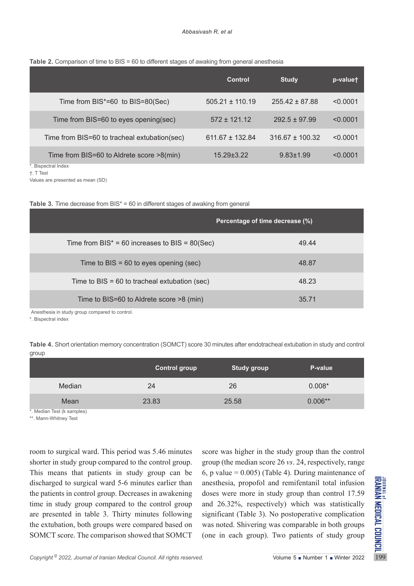#### **Table 2.** Comparison of time to BIS = 60 to different stages of awaking from general anesthesia

|                                              | Control             | <b>Study</b>        | p-valuet |
|----------------------------------------------|---------------------|---------------------|----------|
| Time from $BIS^* = 60$ to $BIS = 80$ (Sec)   | $505.21 \pm 110.19$ | $255.42 \pm 87.88$  | < 0.0001 |
| Time from BIS=60 to eyes opening(sec)        | $572 + 121.12$      | $292.5 \pm 97.99$   | < 0.0001 |
| Time from BIS=60 to tracheal extubation(sec) | $611.67 \pm 132.84$ | $316.67 \pm 100.32$ | < 0.0001 |
| Time from BIS=60 to Aldrete score >8(min)    | $15.29 + 3.22$      | $9.83 \pm 1.99$     | < 0.0001 |
| *. Bispectral Index                          |                     |                     |          |

†. T Test

Values are presented as mean (SD)

|  |  |  |  |  |  |  | Table 3. Time decrease from $BIS^* = 60$ in different stages of awaking from general |  |
|--|--|--|--|--|--|--|--------------------------------------------------------------------------------------|--|
|--|--|--|--|--|--|--|--------------------------------------------------------------------------------------|--|

|                                                      | Percentage of time decrease (%) |  |  |  |  |
|------------------------------------------------------|---------------------------------|--|--|--|--|
| Time from $BIS^* = 60$ increases to $BIS = 80$ (Sec) | 49.44                           |  |  |  |  |
| Time to BIS = $60$ to eyes opening (sec)             | 48.87                           |  |  |  |  |
| Time to $BIS = 60$ to tracheal extubation (sec)      | 48.23                           |  |  |  |  |
| Time to BIS=60 to Aldrete score >8 (min)             | 35.71                           |  |  |  |  |
| Anesthesia in study group compared to control.       |                                 |  |  |  |  |

\*. Bispectral index

**Table 4.** Short orientation memory concentration (SOMCT) score 30 minutes after endotracheal extubation in study and control group

|        | <b>Control group</b> | <b>Study group</b> | P-value   |
|--------|----------------------|--------------------|-----------|
| Median | 24                   | 26                 | $0.008*$  |
| Mean   | 23.83                | 25.58              | $0.006**$ |

\*. Median Test (k samples)

\*\*. Mann-Whitney Test

discharged to surgical ward 5-6 minutes earlier than<br>the patients in control group. Decreases in awakening doses were more in study group than control 17.59<br>time in study group compared to the control group and 26.32%, re room to surgical ward. This period was 5.46 minutes shorter in study group compared to the control group. This means that patients in study group can be discharged to surgical ward 5-6 minutes earlier than the patients in control group. Decreases in awakening time in study group compared to the control group are presented in table 3. Thirty minutes following the extubation, both groups were compared based on SOMCT score. The comparison showed that SOMCT

score was higher in the study group than the control group (the median score 26 *vs*. 24, respectively, range 6, p value =  $0.005$ ) (Table 4). During maintenance of anesthesia, propofol and remifentanil total infusion doses were more in study group than control 17.59 and 26.32%, respectively) which was statistically significant (Table 3). No postoperative complication was noted. Shivering was comparable in both groups (one in each group). Two patients of study group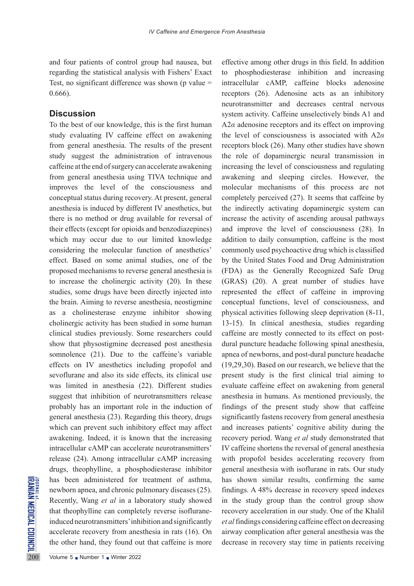and four patients of control group had nausea, but regarding the statistical analysis with Fishers' Exact Test, no significant difference was shown ( $p$  value = 0.666).

### **Discussion**

As been administered for<br>  $\sum_{n=1}^{\infty}$  has been administered for<br>
newborn apnea, and chronic pu<br>
Recently, Wang *et al* in a lab<br>
that theophylline can complet<br>
induced neurotransmitters' inhi<br>
accelerate recovery from To the best of our knowledge, this is the first human study evaluating IV caffeine effect on awakening from general anesthesia. The results of the present study suggest the administration of intravenous caffeine at the end of surgery can accelerate awakening from general anesthesia using TIVA technique and improves the level of the consciousness and conceptual status during recovery. At present, general anesthesia is induced by different IV anesthetics, but there is no method or drug available for reversal of their effects (except for opioids and benzodiazepines) which may occur due to our limited knowledge considering the molecular function of anesthetics' effect. Based on some animal studies, one of the proposed mechanisms to reverse general anesthesia is to increase the cholinergic activity (20). In these studies, some drugs have been directly injected into the brain. Aiming to reverse anesthesia, neostigmine as a cholinesterase enzyme inhibitor showing cholinergic activity has been studied in some human clinical studies previously. Some researchers could show that physostigmine decreased post anesthesia somnolence (21). Due to the caffeine's variable effects on IV anesthetics including propofol and sevoflurane and also its side effects, its clinical use was limited in anesthesia (22). Different studies suggest that inhibition of neurotransmitters release probably has an important role in the induction of general anesthesia (23). Regarding this theory, drugs which can prevent such inhibitory effect may affect awakening. Indeed, it is known that the increasing intracellular cAMP can accelerate neurotransmitters' release (24). Among intracellular cAMP increasing drugs, theophylline, a phosphodiesterase inhibitor has been administered for treatment of asthma, newborn apnea, and chronic pulmonary diseases (25). Recently, Wang *et al* in a laboratory study showed that theophylline can completely reverse isofluraneinduced neurotransmitters' inhibition and significantly accelerate recovery from anesthesia in rats (16). On the other hand, they found out that caffeine is more

effective among other drugs in this field. In addition to phosphodiesterase inhibition and increasing intracellular cAMP, caffeine blocks adenosine receptors (26). Adenosine acts as an inhibitory neurotransmitter and decreases central nervous system activity. Caffeine unselectively binds A1 and A2*α* adenosine receptors and its effect on improving the level of consciousness is associated with A2*α*  receptors block (26). Many other studies have shown the role of dopaminergic neural transmission in increasing the level of consciousness and regulating awakening and sleeping circles. However, the molecular mechanisms of this process are not completely perceived (27). It seems that caffeine by the indirectly activating dopaminergic system can increase the activity of ascending arousal pathways and improve the level of consciousness (28). In addition to daily consumption, caffeine is the most commonly used psychoactive drug which is classified by the United States Food and Drug Administration (FDA) as the Generally Recognized Safe Drug (GRAS) (20). A great number of studies have represented the effect of caffeine in improving conceptual functions, level of consciousness, and physical activities following sleep deprivation (8-11, 13-15). In clinical anesthesia, studies regarding caffeine are mostly connected to its effect on postdural puncture headache following spinal anesthesia, apnea of newborns, and post-dural puncture headache (19,29,30). Based on our research, we believe that the present study is the first clinical trial aiming to evaluate caffeine effect on awakening from general anesthesia in humans. As mentioned previously, the findings of the present study show that caffeine significantly fastens recovery from general anesthesia and increases patients' cognitive ability during the recovery period. Wang *et al* study demonstrated that IV caffeine shortens the reversal of general anesthesia with propofol besides accelerating recovery from general anesthesia with isoflurane in rats. Our study has shown similar results, confirming the same findings. A 48% decrease in recovery speed indexes in the study group than the control group show recovery acceleration in our study. One of the Khalil *et al* findings considering caffeine effect on decreasing airway complication after general anesthesia was the decrease in recovery stay time in patients receiving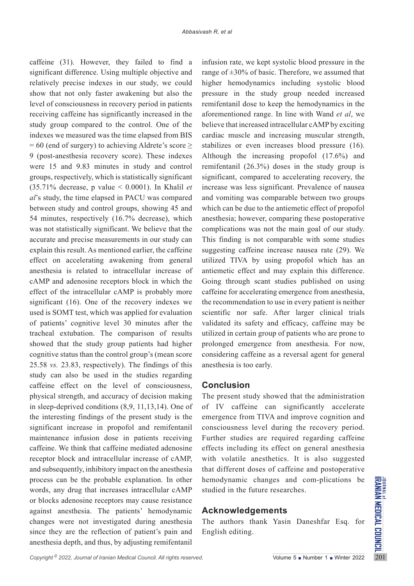caffeine (31). However, they failed to find a significant difference. Using multiple objective and relatively precise indexes in our study, we could show that not only faster awakening but also the level of consciousness in recovery period in patients receiving caffeine has significantly increased in the study group compared to the control. One of the indexes we measured was the time elapsed from BIS  $= 60$  (end of surgery) to achieving Aldrete's score  $\geq$ 9 (post-anesthesia recovery score). These indexes were 15 and 9.83 minutes in study and control groups, respectively, which is statistically significant (35.71% decrease, p value < 0.0001). In Khalil *et al*'s study, the time elapsed in PACU was compared between study and control groups, showing 45 and 54 minutes, respectively (16.7% decrease), which was not statistically significant. We believe that the accurate and precise measurements in our study can explain this result. As mentioned earlier, the caffeine effect on accelerating awakening from general anesthesia is related to intracellular increase of cAMP and adenosine receptors block in which the effect of the intracellular cAMP is probably more significant (16). One of the recovery indexes we used is SOMT test, which was applied for evaluation of patients' cognitive level 30 minutes after the tracheal extubation. The comparison of results showed that the study group patients had higher cognitive status than the control group's (mean score 25.58 *vs.* 23.83, respectively). The findings of this study can also be used in the studies regarding caffeine effect on the level of consciousness, physical strength, and accuracy of decision making in sleep-deprived conditions (8,9, 11,13,14). One of the interesting findings of the present study is the significant increase in propofol and remifentanil maintenance infusion dose in patients receiving caffeine. We think that caffeine mediated adenosine receptor block and intracellular increase of cAMP, and subsequently, inhibitory impact on the anesthesia process can be the probable explanation. In other words, any drug that increases intracellular cAMP or blocks adenosine receptors may cause resistance against anesthesia. The patients' hemodynamic changes were not investigated during anesthesia since they are the reflection of patient's pain and anesthesia depth, and thus, by adjusting remifentanil

infusion rate, we kept systolic blood pressure in the range of  $\pm 30\%$  of basic. Therefore, we assumed that higher hemodynamics including systolic blood pressure in the study group needed increased remifentanil dose to keep the hemodynamics in the aforementioned range. In line with Wand *et al*, we believe that increased intracellular cAMP by exciting cardiac muscle and increasing muscular strength, stabilizes or even increases blood pressure (16). Although the increasing propofol (17.6%) and remifentanil (26.3%) doses in the study group is significant, compared to accelerating recovery, the increase was less significant. Prevalence of nausea and vomiting was comparable between two groups which can be due to the antiemetic effect of propofol anesthesia; however, comparing these postoperative complications was not the main goal of our study. This finding is not comparable with some studies suggesting caffeine increase nausea rate (29). We utilized TIVA by using propofol which has an antiemetic effect and may explain this difference. Going through scant studies published on using caffeine for accelerating emergence from anesthesia, the recommendation to use in every patient is neither scientific nor safe. After larger clinical trials validated its safety and efficacy, caffeine may be utilized in certain group of patients who are prone to prolonged emergence from anesthesia. For now, considering caffeine as a reversal agent for general anesthesia is too early.

## **Conclusion**

The present study showed that the administration of IV caffeine can significantly accelerate emergence from TIVA and improve cognition and consciousness level during the recovery period. Further studies are required regarding caffeine effects including its effect on general anesthesia with volatile anesthetics. It is also suggested that different doses of caffeine and postoperative hemodynamic changes and com-plications be studied in the future researches.

## **Acknowledgements**

The authors thank Yasin Daneshfar Esq. for English editing.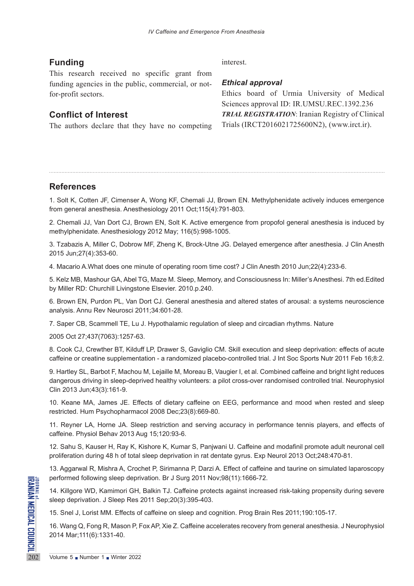# **Funding**

This research received no specific grant from funding agencies in the public, commercial, or notfor-profit sectors.

# **Conflict of Interest**

The authors declare that they have no competing

### interest.

### *Ethical approval*

Ethics board of Urmia University of Medical Sciences approval ID: IR.UMSU.REC.1392.236 *TRIAL REGISTRATION*: Iranian Registry of Clinical Trials (IRCT2016021725600N2), ([www.irct.ir](http://www.irct.ir)).

### **References**

1. Solt K, Cotten JF, Cimenser A, Wong KF, Chemali JJ, Brown EN. Methylphenidate actively induces emergence from general anesthesia. Anesthesiology 2011 Oct;115(4):791-803.

2. Chemali JJ, Van Dort CJ, Brown EN, Solt K. Active emergence from propofol general anesthesia is induced by methylphenidate. Anesthesiology 2012 May; 116(5):998-1005.

3. Tzabazis A, Miller C, Dobrow MF, Zheng K, Brock-Utne JG. Delayed emergence after anesthesia. J Clin Anesth 2015 Jun;27(4):353-60.

4. Macario A.What does one minute of operating room time cost? J Clin Anesth 2010 Jun;22(4):233-6.

5. Kelz MB, Mashour GA, Abel TG, Maze M. Sleep, Memory, and Consciousness In: Miller's Anesthesi. 7th ed.Edited by Miller RD: Churchill Livingstone Elsevier. 2010.p.240.

6. Brown EN, Purdon PL, Van Dort CJ. General anesthesia and altered states of arousal: a systems neuroscience analysis. Annu Rev Neurosci 2011;34:601-28.

7. Saper CB, Scammell TE, Lu J. Hypothalamic regulation of sleep and circadian rhythms. Nature

2005 Oct 27;437(7063):1257-63.

8. Cook CJ, Crewther BT, Kilduff LP, Drawer S, Gaviglio CM. Skill execution and sleep deprivation: effects of acute caffeine or creatine supplementation - a randomized placebo-controlled trial. J Int Soc Sports Nutr 2011 Feb 16;8:2.

9. Hartley SL, Barbot F, Machou M, Lejaille M, Moreau B, Vaugier I, et al. Combined caffeine and bright light reduces dangerous driving in sleep-deprived healthy volunteers: a pilot cross-over randomised controlled trial. Neurophysiol Clin 2013 Jun;43(3):161-9.

10. Keane MA, James JE. Effects of dietary caffeine on EEG, performance and mood when rested and sleep restricted. Hum Psychopharmacol 2008 Dec;23(8):669-80.

11. Reyner LA, Horne JA. Sleep restriction and serving accuracy in performance tennis players, and effects of caffeine. Physiol Behav 2013 Aug 15;120:93-6.

12. Sahu S, Kauser H, Ray K, Kishore K, Kumar S, Panjwani U. Caffeine and modafinil promote adult neuronal cell proliferation during 48 h of total sleep deprivation in rat dentate gyrus. Exp Neurol 2013 Oct;248:470-81.

13. Aggarwal R, Mishra A, Crochet P, Sirimanna P, Darzi A. Effect of caffeine and taurine on simulated laparoscopy performed following sleep deprivation. Br J Surg 2011 Nov;98(11):1666-72.

Performed following sleep deprived to the state of the state of the state of the state of the state of the WD, Kamimori GH, sleep deprivation. J Sleep Res 2<br>15. Snel J, Lorist MM. Effects of 16. Wang Q, Fong R, Mason P, F 14. Killgore WD, Kamimori GH, Balkin TJ. Caffeine protects against increased risk-taking propensity during severe sleep deprivation. J Sleep Res 2011 Sep;20(3):395-403.

15. Snel J, Lorist MM. Effects of caffeine on sleep and cognition. Prog Brain Res 2011;190:105-17.

16. Wang Q, Fong R, Mason P, Fox AP, Xie Z. Caffeine accelerates recovery from general anesthesia. J Neurophysiol 2014 Mar;111(6):1331-40.